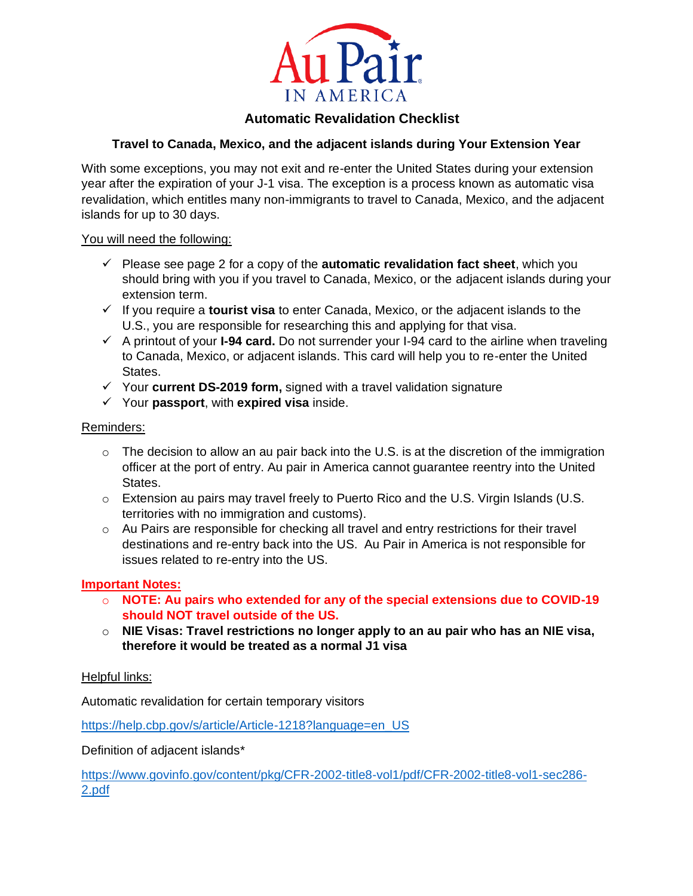

# **Automatic Revalidation Checklist**

## **Travel to Canada, Mexico, and the adjacent islands during Your Extension Year**

With some exceptions, you may not exit and re-enter the United States during your extension year after the expiration of your J-1 visa. The exception is a process known as automatic visa revalidation, which entitles many non-immigrants to travel to Canada, Mexico, and the adjacent islands for up to 30 days.

## You will need the following:

- $\checkmark$  Please see page 2 for a copy of the **automatic revalidation fact sheet**, which you should bring with you if you travel to Canada, Mexico, or the adjacent islands during your extension term.
- ✓ If you require a **tourist visa** to enter Canada, Mexico, or the adjacent islands to the U.S., you are responsible for researching this and applying for that visa.
- ✓ A printout of your **I-94 card.** Do not surrender your I-94 card to the airline when traveling to Canada, Mexico, or adjacent islands. This card will help you to re-enter the United States.
- ✓ Your **current DS-2019 form,** signed with a travel validation signature
- ✓ Your **passport**, with **expired visa** inside.

## Reminders:

- $\circ$  The decision to allow an au pair back into the U.S. is at the discretion of the immigration officer at the port of entry. Au pair in America cannot guarantee reentry into the United States.
- o Extension au pairs may travel freely to Puerto Rico and the U.S. Virgin Islands (U.S. territories with no immigration and customs).
- $\circ$  Au Pairs are responsible for checking all travel and entry restrictions for their travel destinations and re-entry back into the US. Au Pair in America is not responsible for issues related to re-entry into the US.

## **Important Notes:**

- o **NOTE: Au pairs who extended for any of the special extensions due to COVID-19 should NOT travel outside of the US.**
- o **NIE Visas: Travel restrictions no longer apply to an au pair who has an NIE visa, therefore it would be treated as a normal J1 visa**

## Helpful links:

Automatic revalidation for certain temporary visitors

[https://help.cbp.gov/s/article/Article-1218?language=en\\_US](https://help.cbp.gov/s/article/Article-1218?language=en_US)

Definition of adjacent islands\*

[https://www.govinfo.gov/content/pkg/CFR-2002-title8-vol1/pdf/CFR-2002-title8-vol1-sec286-](https://www.govinfo.gov/content/pkg/CFR-2002-title8-vol1/pdf/CFR-2002-title8-vol1-sec286-2.pdf) [2.pdf](https://www.govinfo.gov/content/pkg/CFR-2002-title8-vol1/pdf/CFR-2002-title8-vol1-sec286-2.pdf)